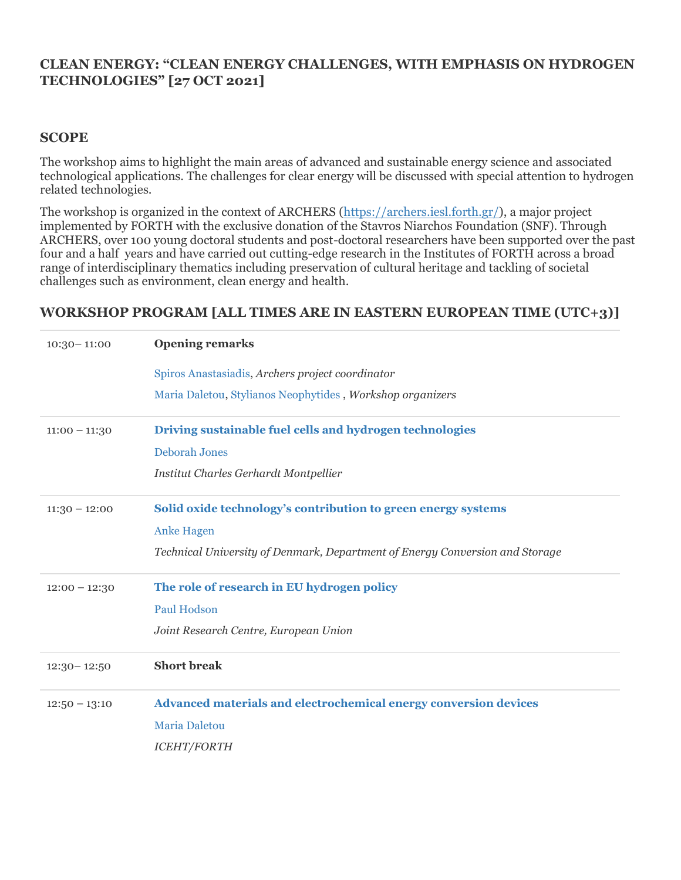## **CLEAN ENERGY: "CLEAN ENERGY CHALLENGES, WITH EMPHASIS ON HYDROGEN TECHNOLOGIES" [27 OCT 2021]**

## **SCOPE**

The workshop aims to highlight the main areas of advanced and sustainable energy science and associated technological applications. The challenges for clear energy will be discussed with special attention to hydrogen related technologies.

The workshop is organized in the context of ARCHERS [\(https://archers.iesl.forth.gr/\)](https://archers.iesl.forth.gr/), a major project implemented by FORTH with the exclusive donation of the Stavros Niarchos Foundation (SNF). Through ARCHERS, over 100 young doctoral students and post-doctoral researchers have been supported over the past four and a half years and have carried out cutting-edge research in the Institutes of FORTH across a broad range of interdisciplinary thematics including preservation of cultural heritage and tackling of societal challenges such as environment, clean energy and health.

## **WORKSHOP PROGRAM [ALL TIMES ARE IN EASTERN EUROPEAN TIME (UTC+3)]**

| $10:30 - 11:00$ | <b>Opening remarks</b>                                                       |
|-----------------|------------------------------------------------------------------------------|
|                 | Spiros Anastasiadis, Archers project coordinator                             |
|                 | Maria Daletou, Stylianos Neophytides, Workshop organizers                    |
| $11:00 - 11:30$ | Driving sustainable fuel cells and hydrogen technologies                     |
|                 | <b>Deborah Jones</b>                                                         |
|                 | Institut Charles Gerhardt Montpellier                                        |
| $11:30 - 12:00$ | Solid oxide technology's contribution to green energy systems                |
|                 | <b>Anke Hagen</b>                                                            |
|                 | Technical University of Denmark, Department of Energy Conversion and Storage |
| $12:00 - 12:30$ | The role of research in EU hydrogen policy                                   |
|                 | <b>Paul Hodson</b>                                                           |
|                 | Joint Research Centre, European Union                                        |
| $12:30 - 12:50$ | <b>Short break</b>                                                           |
| $12:50 - 13:10$ | Advanced materials and electrochemical energy conversion devices             |
|                 | Maria Daletou                                                                |
|                 | <b>ICEHT/FORTH</b>                                                           |